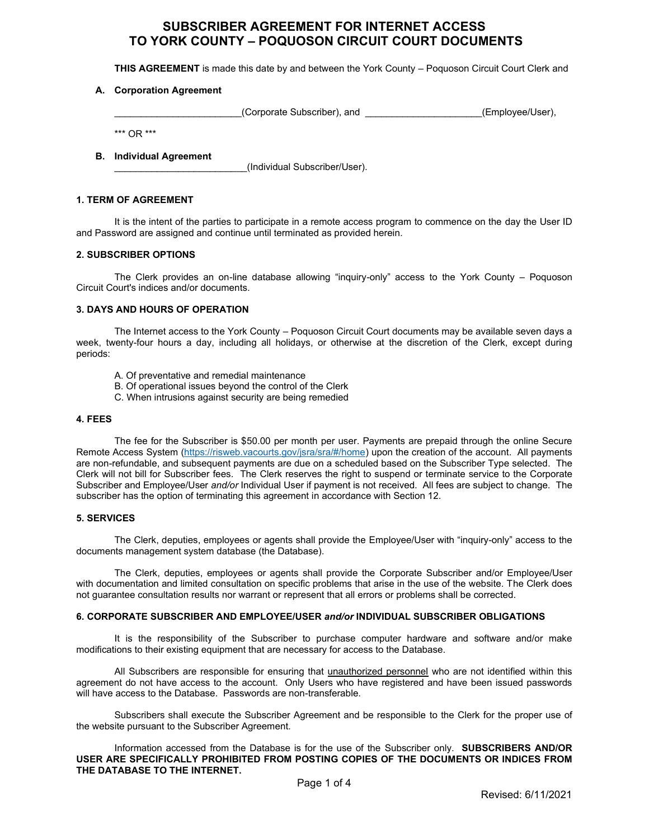# **SUBSCRIBER AGREEMENT FOR INTERNET ACCESS TO YORK COUNTY – POQUOSON CIRCUIT COURT DOCUMENTS**

**THIS AGREEMENT** is made this date by and between the York County – Poquoson Circuit Court Clerk and

# **A. Corporation Agreement**

(Corporate Subscriber), and  $(Employee/User)$ ,

\*\*\* OR \*\*\*

## **B. Individual Agreement**

\_\_\_\_\_\_\_\_\_\_\_\_\_\_\_\_\_\_\_\_\_\_\_\_\_(Individual Subscriber/User).

# **1. TERM OF AGREEMENT**

It is the intent of the parties to participate in a remote access program to commence on the day the User ID and Password are assigned and continue until terminated as provided herein.

# **2. SUBSCRIBER OPTIONS**

The Clerk provides an on-line database allowing "inquiry-only" access to the York County – Poquoson Circuit Court's indices and/or documents.

# **3. DAYS AND HOURS OF OPERATION**

The Internet access to the York County – Poquoson Circuit Court documents may be available seven days a week, twenty-four hours a day, including all holidays, or otherwise at the discretion of the Clerk, except during periods:

- A. Of preventative and remedial maintenance
- B. Of operational issues beyond the control of the Clerk
- C. When intrusions against security are being remedied

## **4. FEES**

The fee for the Subscriber is \$50.00 per month per user. Payments are prepaid through the online Secure Remote Access System [\(https://risweb.vacourts.gov/jsra/sra/#/home\)](https://risweb.vacourts.gov/jsra/sra/#/home) upon the creation of the account. All payments are non-refundable, and subsequent payments are due on a scheduled based on the Subscriber Type selected. The Clerk will not bill for Subscriber fees. The Clerk reserves the right to suspend or terminate service to the Corporate Subscriber and Employee/User *and/or* Individual User if payment is not received. All fees are subject to change. The subscriber has the option of terminating this agreement in accordance with Section 12.

# **5. SERVICES**

The Clerk, deputies, employees or agents shall provide the Employee/User with "inquiry-only" access to the documents management system database (the Database).

The Clerk, deputies, employees or agents shall provide the Corporate Subscriber and/or Employee/User with documentation and limited consultation on specific problems that arise in the use of the website. The Clerk does not guarantee consultation results nor warrant or represent that all errors or problems shall be corrected.

#### **6. CORPORATE SUBSCRIBER AND EMPLOYEE/USER** *and/or* **INDIVIDUAL SUBSCRIBER OBLIGATIONS**

It is the responsibility of the Subscriber to purchase computer hardware and software and/or make modifications to their existing equipment that are necessary for access to the Database.

All Subscribers are responsible for ensuring that unauthorized personnel who are not identified within this agreement do not have access to the account. Only Users who have registered and have been issued passwords will have access to the Database. Passwords are non-transferable.

Subscribers shall execute the Subscriber Agreement and be responsible to the Clerk for the proper use of the website pursuant to the Subscriber Agreement.

Information accessed from the Database is for the use of the Subscriber only. **SUBSCRIBERS AND/OR USER ARE SPECIFICALLY PROHIBITED FROM POSTING COPIES OF THE DOCUMENTS OR INDICES FROM THE DATABASE TO THE INTERNET.**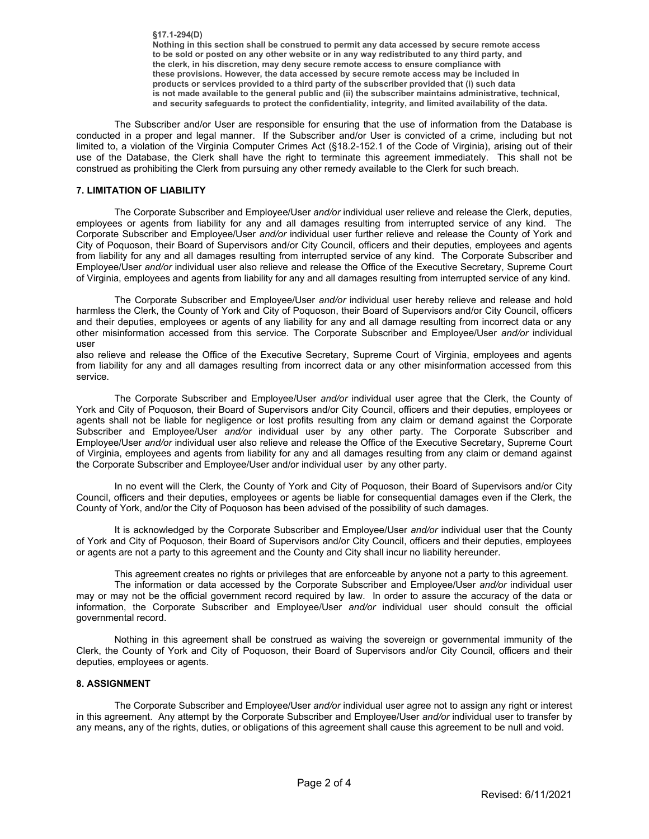**§17.1-294(D) Nothing in this section shall be construed to permit any data accessed by secure remote access to be sold or posted on any other website or in any way redistributed to any third party, and the clerk, in his discretion, may deny secure remote access to ensure compliance with these provisions. However, the data accessed by secure remote access may be included in products or services provided to a third party of the subscriber provided that (i) such data is not made available to the general public and (ii) the subscriber maintains administrative, technical, and security safeguards to protect the confidentiality, integrity, and limited availability of the data.**

The Subscriber and/or User are responsible for ensuring that the use of information from the Database is conducted in a proper and legal manner. If the Subscriber and/or User is convicted of a crime, including but not limited to, a violation of the Virginia Computer Crimes Act (§18.2-152.1 of the Code of Virginia), arising out of their use of the Database, the Clerk shall have the right to terminate this agreement immediately. This shall not be construed as prohibiting the Clerk from pursuing any other remedy available to the Clerk for such breach.

# **7. LIMITATION OF LIABILITY**

The Corporate Subscriber and Employee/User *and/or* individual user relieve and release the Clerk, deputies, employees or agents from liability for any and all damages resulting from interrupted service of any kind. The Corporate Subscriber and Employee/User *and/or* individual user further relieve and release the County of York and City of Poquoson, their Board of Supervisors and/or City Council, officers and their deputies, employees and agents from liability for any and all damages resulting from interrupted service of any kind. The Corporate Subscriber and Employee/User *and/or* individual user also relieve and release the Office of the Executive Secretary, Supreme Court of Virginia, employees and agents from liability for any and all damages resulting from interrupted service of any kind.

The Corporate Subscriber and Employee/User *and/or* individual user hereby relieve and release and hold harmless the Clerk, the County of York and City of Poquoson, their Board of Supervisors and/or City Council, officers and their deputies, employees or agents of any liability for any and all damage resulting from incorrect data or any other misinformation accessed from this service. The Corporate Subscriber and Employee/User *and/or* individual user

also relieve and release the Office of the Executive Secretary, Supreme Court of Virginia, employees and agents from liability for any and all damages resulting from incorrect data or any other misinformation accessed from this service.

The Corporate Subscriber and Employee/User *and/or* individual user agree that the Clerk, the County of York and City of Poquoson, their Board of Supervisors and/or City Council, officers and their deputies, employees or agents shall not be liable for negligence or lost profits resulting from any claim or demand against the Corporate Subscriber and Employee/User *and/or* individual user by any other party. The Corporate Subscriber and Employee/User *and/or* individual user also relieve and release the Office of the Executive Secretary, Supreme Court of Virginia, employees and agents from liability for any and all damages resulting from any claim or demand against the Corporate Subscriber and Employee/User and/or individual user by any other party.

In no event will the Clerk, the County of York and City of Poquoson, their Board of Supervisors and/or City Council, officers and their deputies, employees or agents be liable for consequential damages even if the Clerk, the County of York, and/or the City of Poquoson has been advised of the possibility of such damages.

It is acknowledged by the Corporate Subscriber and Employee/User *and/or* individual user that the County of York and City of Poquoson, their Board of Supervisors and/or City Council, officers and their deputies, employees or agents are not a party to this agreement and the County and City shall incur no liability hereunder.

This agreement creates no rights or privileges that are enforceable by anyone not a party to this agreement. The information or data accessed by the Corporate Subscriber and Employee/User *and/or* individual user may or may not be the official government record required by law. In order to assure the accuracy of the data or information, the Corporate Subscriber and Employee/User *and/or* individual user should consult the official governmental record.

Nothing in this agreement shall be construed as waiving the sovereign or governmental immunity of the Clerk, the County of York and City of Poquoson, their Board of Supervisors and/or City Council, officers and their deputies, employees or agents.

# **8. ASSIGNMENT**

The Corporate Subscriber and Employee/User *and/or* individual user agree not to assign any right or interest in this agreement. Any attempt by the Corporate Subscriber and Employee/User *and/or* individual user to transfer by any means, any of the rights, duties, or obligations of this agreement shall cause this agreement to be null and void.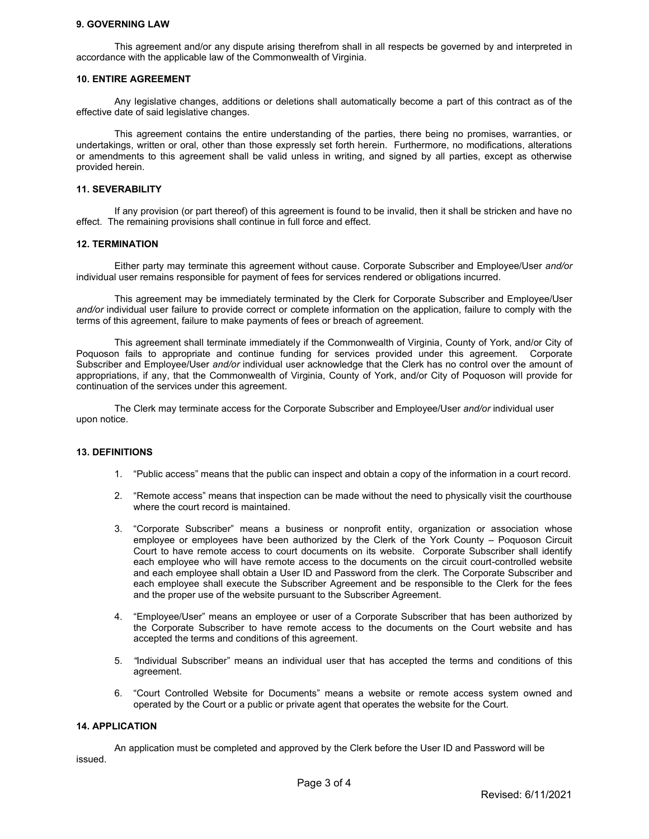#### **9. GOVERNING LAW**

This agreement and/or any dispute arising therefrom shall in all respects be governed by and interpreted in accordance with the applicable law of the Commonwealth of Virginia.

#### **10. ENTIRE AGREEMENT**

Any legislative changes, additions or deletions shall automatically become a part of this contract as of the effective date of said legislative changes.

This agreement contains the entire understanding of the parties, there being no promises, warranties, or undertakings, written or oral, other than those expressly set forth herein. Furthermore, no modifications, alterations or amendments to this agreement shall be valid unless in writing, and signed by all parties, except as otherwise provided herein.

## **11. SEVERABILITY**

If any provision (or part thereof) of this agreement is found to be invalid, then it shall be stricken and have no effect. The remaining provisions shall continue in full force and effect.

## **12. TERMINATION**

Either party may terminate this agreement without cause. Corporate Subscriber and Employee/User *and/or* individual user remains responsible for payment of fees for services rendered or obligations incurred.

This agreement may be immediately terminated by the Clerk for Corporate Subscriber and Employee/User *and/or* individual user failure to provide correct or complete information on the application, failure to comply with the terms of this agreement, failure to make payments of fees or breach of agreement.

This agreement shall terminate immediately if the Commonwealth of Virginia, County of York, and/or City of Poquoson fails to appropriate and continue funding for services provided under this agreement. Corporate Subscriber and Employee/User *and/or* individual user acknowledge that the Clerk has no control over the amount of appropriations, if any, that the Commonwealth of Virginia, County of York, and/or City of Poquoson will provide for continuation of the services under this agreement.

The Clerk may terminate access for the Corporate Subscriber and Employee/User *and/or* individual user upon notice.

#### **13. DEFINITIONS**

- 1. "Public access" means that the public can inspect and obtain a copy of the information in a court record.
- 2. "Remote access" means that inspection can be made without the need to physically visit the courthouse where the court record is maintained.
- 3. "Corporate Subscriber" means a business or nonprofit entity, organization or association whose employee or employees have been authorized by the Clerk of the York County – Poquoson Circuit Court to have remote access to court documents on its website. Corporate Subscriber shall identify each employee who will have remote access to the documents on the circuit court-controlled website and each employee shall obtain a User ID and Password from the clerk. The Corporate Subscriber and each employee shall execute the Subscriber Agreement and be responsible to the Clerk for the fees and the proper use of the website pursuant to the Subscriber Agreement.
- 4. "Employee/User" means an employee or user of a Corporate Subscriber that has been authorized by the Corporate Subscriber to have remote access to the documents on the Court website and has accepted the terms and conditions of this agreement.
- 5. *"*Individual Subscriber" means an individual user that has accepted the terms and conditions of this agreement.
- 6. "Court Controlled Website for Documents" means a website or remote access system owned and operated by the Court or a public or private agent that operates the website for the Court.

#### **14. APPLICATION**

An application must be completed and approved by the Clerk before the User ID and Password will be issued.